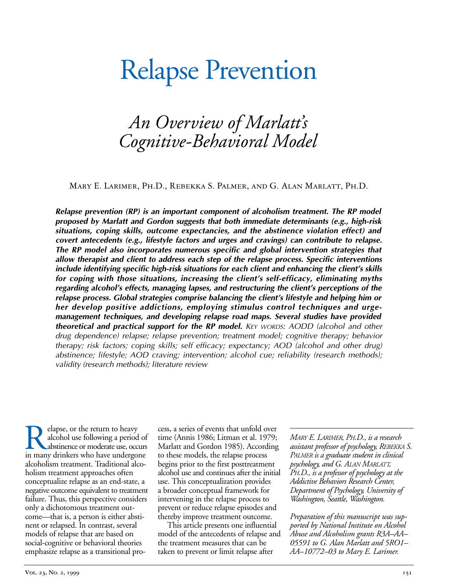# Relapse Prevention

# *An Overview of Marlatt' s Cognitive-Behavioral Model*

Mary E. Larimer, Ph.D., Rebekka S. Palmer, and G. Alan Marlatt, Ph.D.

*Relapse prevention (RP) is an important component of alcoholism treatment. The RP model proposed by Marlatt and Gordon suggests that both immediate determinants (e.g., high-risk situations, coping skills, outcome expectancies, and the abstinence violation effect) and covert antecedents (e.g., lifestyle factors and urges and cravings) can contribute to relapse. The RP model also incorporates numerous specific and global intervention strategies that allow therapist and client to address each step of the relapse process. Specific interventions include identifying specific high-risk situations for each client and enhancing the client's skills for coping with those situations, increasing the client's self-efficacy, eliminating myths regarding alcohol's effects, managing lapses, and restructuring the client's perceptions of the relapse process. Global strategies comprise balancing the client's lifestyle and helping him or her develop positive addictions, employing stimulus control techniques and urgemanagement techniques, and developing relapse road maps. Several studies have provided theoretical and practical support for the RP model. KEY WORDS: AODD (alcohol and other drug dependence) relapse; relapse prevention; treatment model; cognitive therapy; behavior therapy; risk factors; coping skills; self efficacy; expectancy; AOD (alcohol and other drug) abstinence; lifestyle; AOD craving; intervention; alcohol cue; reliability (research methods); validity (research methods); literature review*

Relapse, or the return to heavy<br>alcohol use following a period of<br>in many drinkers who have undergone alcohol use following a period of abstinence or moderate use, occurs alcoholism treatment. Traditional alcoholism treatment approaches often conceptualize relapse as an end-state, a negative outcome equivalent to treatment failure. Thus, this perspective considers only a dichotomous treatment outcome—that is, a person is either abstinent or relapsed. In contrast, several models of relapse that are based on social-cognitive or behavioral theories emphasize relapse as a transitional pro-

cess, a series of events that unfold over time (Annis 1986; Litman et al. 1979; Marlatt and Gordon 1985). According to these models, the relapse process begins prior to the first posttreatment alcohol use and continues after the initial use. This conceptualization provides a broader conceptual framework for intervening in the relapse process to prevent or reduce relapse episodes and thereby improve treatment outcome.

This article presents one influential model of the antecedents of relapse and the treatment measures that can be taken to prevent or limit relapse after

*MARY E. LARIMER, PH.D., is a research assistant professor of psychology, REBEKKA S. PALMER is a graduate student in clinical psychology, and G. ALAN MARLATT, PH.D., is a professor of psychology at the Addictive Behaviors Research Center, Department of Psychology, University of Washington, Seattle, Washington.*

*Preparation of this manuscript was supported by National Institute on Alcohol Abuse and Alcoholism grants R3A–AA– 05591 to G. Alan Marlatt and 5RO1– AA–10772–03 to Mary E. Larimer.*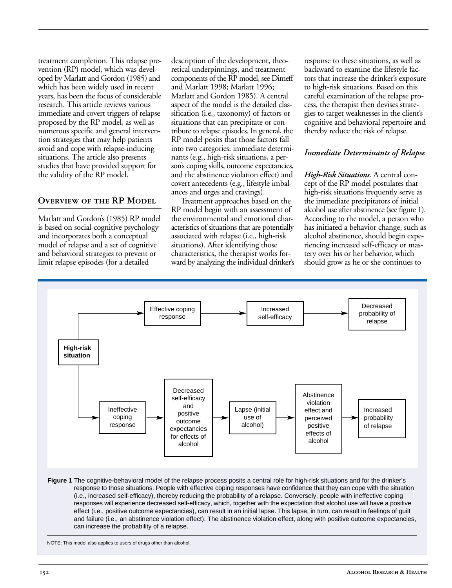treatment completion. This relapse prevention (RP) model, which was developed by Marlatt and Gordon (1985) and which has been widely used in recent years, has been the focus of considerable research. This article reviews various immediate and covert triggers of relapse proposed by the RP model, as well as numerous specific and general intervention strategies that may help patients avoid and cope with relapse-inducing situations. The article also presents studies that have provided support for the validity of the RP model.

#### **OVERVIEW OF THE RP MODEL**

Marlatt and Gordon's (1985) RP model is based on social-cognitive psychology and incorporates both a conceptual model of relapse and a set of cognitive and behavioral strategies to prevent or limit relapse episodes (for a detailed

description of the development, theoretical underpinnings, and treatment components of the RP model, see Dimeff and Marlatt 1998; Marlatt 1996; Marlatt and Gordon 1985). A central aspect of the model is the detailed classification (i.e., taxonomy) of factors or situations that can precipitate or contribute to relapse episodes. In general, the RP model posits that those factors fall into two categories: immediate determinants (e.g., high-risk situations, a person's coping skills, outcome expectancies, and the abstinence violation effect) and covert antecedents (e.g., lifestyle imbalances and urges and cravings).

Treatment approaches based on the RP model begin with an assessment of the environmental and emotional characteristics of situations that are potentially associated with relapse (i.e., high-risk situations). After identifying those characteristics, the therapist works forward by analyzing the individual drinker's response to these situations, as well as backward to examine the lifestyle factors that increase the drinker's exposure to high-risk situations. Based on this careful examination of the relapse process, the therapist then devises strategies to target weaknesses in the client's cognitive and behavioral repertoire and thereby reduce the risk of relapse.

## *Immediate Determinants of Relapse*

*High-Risk Situations.* A central concept of the RP model postulates that high-risk situations frequently serve as the immediate precipitators of initial alcohol use after abstinence (see figure 1). According to the model, a person who has initiated a behavior change, such as alcohol abstinence, should begin experiencing increased self-efficacy or mastery over his or her behavior, which should grow as he or she continues to

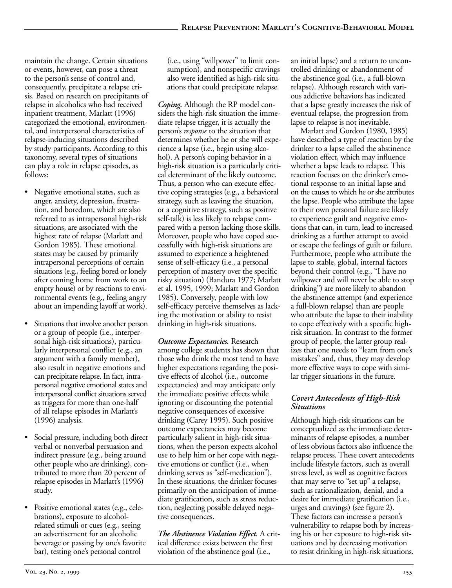maintain the change. Certain situations or events, however, can pose a threat to the person's sense of control and, consequently, precipitate a relapse crisis. Based on research on precipitants of relapse in alcoholics who had received inpatient treatment, Marlatt (1996) categorized the emotional, environmental, and interpersonal characteristics of relapse-inducing situations described by study participants. According to this taxonomy, several types of situations can play a role in relapse episodes, as follows:

- Negative emotional states, such as anger, anxiety, depression, frustration, and boredom, which are also referred to as intrapersonal high-risk situations, are associated with the highest rate of relapse (Marlatt and Gordon 1985). These emotional states may be caused by primarily intrapersonal perceptions of certain situations (e.g., feeling bored or lonely after coming home from work to an empty house) or by reactions to environmental events (e.g., feeling angry about an impending layoff at work).
- Situations that involve another person or a group of people (i.e., interpersonal high-risk situations), particularly interpersonal conflict (e.g., an argument with a family member), also result in negative emotions and can precipitate relapse. In fact, intrapersonal negative emotional states and interpersonal conflict situations served as triggers for more than one-half of all relapse episodes in Marlatt's (1996) analysis.
- Social pressure, including both direct verbal or nonverbal persuasion and indirect pressure (e.g., being around other people who are drinking), contributed to more than 20 percent of relapse episodes in Marlatt's (1996) study.
- Positive emotional states (e.g., celebrations), exposure to alcoholrelated stimuli or cues (e.g., seeing an advertisement for an alcoholic beverage or passing by one's favorite bar), testing one's personal control

(i.e., using "willpower" to limit consumption), and nonspecific cravings also were identified as high-risk situations that could precipitate relapse.

*Coping.* Although the RP model considers the high-risk situation the immediate relapse trigger, it is actually the person's *response* to the situation that determines whether he or she will experience a lapse (i.e., begin using alcohol). A person's coping behavior in a high-risk situation is a particularly critical determinant of the likely outcome. Thus, a person who can execute effective coping strategies (e.g., a behavioral strategy, such as leaving the situation, or a cognitive strategy, such as positive self-talk) is less likely to relapse compared with a person lacking those skills. Moreover, people who have coped successfully with high-risk situations are assumed to experience a heightened sense of self-efficacy (i.e., a personal perception of mastery over the specific risky situation) (Bandura 1977; Marlatt et al. 1995, 1999; Marlatt and Gordon 1985). Conversely, people with low self-efficacy perceive themselves as lacking the motivation or ability to resist drinking in high-risk situations.

*Outcome Expectancies.* Research among college students has shown that those who drink the most tend to have higher expectations regarding the positive effects of alcohol (i.e., outcome expectancies) and may anticipate only the immediate positive effects while ignoring or discounting the potential negative consequences of excessive drinking (Carey 1995). Such positive outcome expectancies may become particularly salient in high-risk situations, when the person expects alcohol use to help him or her cope with negative emotions or conflict (i.e., when drinking serves as "self-medication"). In these situations, the drinker focuses primarily on the anticipation of immediate gratification, such as stress reduction, neglecting possible delayed negative consequences.

*The Abstinence Violation Effect.* A critical difference exists between the first violation of the abstinence goal (i.e.,

an initial lapse) and a return to uncontrolled drinking or abandonment of the abstinence goal (i.e., a full-blown relapse). Although research with various addictive behaviors has indicated that a lapse greatly increases the risk of eventual relapse, the progression from lapse to relapse is not inevitable.

Marlatt and Gordon (1980, 1985) have described a type of reaction by the drinker to a lapse called the abstinence violation effect, which may influence whether a lapse leads to relapse. This reaction focuses on the drinker's emotional response to an initial lapse and on the causes to which he or she attributes the lapse. People who attribute the lapse to their own personal failure are likely to experience guilt and negative emotions that can, in turn, lead to increased drinking as a further attempt to avoid or escape the feelings of guilt or failure. Furthermore, people who attribute the lapse to stable, global, internal factors beyond their control (e.g., "I have no willpower and will never be able to stop drinking") are more likely to abandon the abstinence attempt (and experience a full-blown relapse) than are people who attribute the lapse to their inability to cope effectively with a specific highrisk situation. In contrast to the former group of people, the latter group realizes that one needs to "learn from one's mistakes" and, thus, they may develop more effective ways to cope with similar trigger situations in the future.

#### *Covert Antecedents of High-Risk Situations*

Although high-risk situations can be conceptualized as the immediate determinants of relapse episodes, a number of less obvious factors also influence the relapse process. These covert antecedents include lifestyle factors, such as overall stress level, as well as cognitive factors that may serve to "set up" a relapse, such as rationalization, denial, and a desire for immediate gratification (i.e., urges and cravings) (see figure 2). These factors can increase a person's vulnerability to relapse both by increasing his or her exposure to high-risk situations and by decreasing motivation to resist drinking in high-risk situations.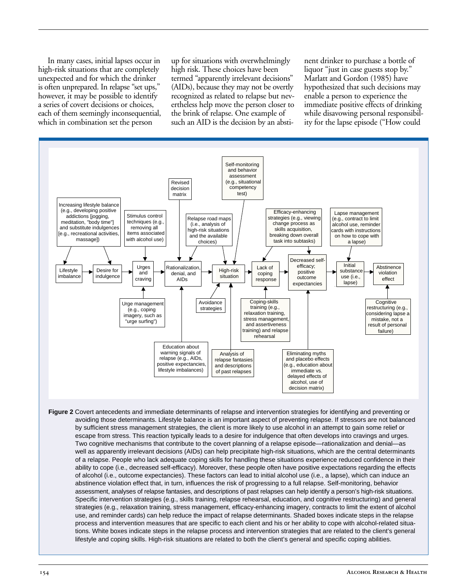In many cases, initial lapses occur in high-risk situations that are completely unexpected and for which the drinker is often unprepared. In relapse "set ups," however, it may be possible to identify a series of covert decisions or choices, each of them seemingly inconsequential, which in combination set the person

up for situations with overwhelmingly high risk. These choices have been termed "apparently irrelevant decisions" (AIDs), because they may not be overtly recognized as related to relapse but nevertheless help move the person closer to the brink of relapse. One example of such an AID is the decision by an abstinent drinker to purchase a bottle of liquor "just in case guests stop by." Marlatt and Gordon (1985) have hypothesized that such decisions may enable a person to experience the immediate positive effects of drinking while disavowing personal responsibility for the lapse episode ("How could



**Figure 2** Covert antecedents and immediate determinants of relapse and intervention strategies for identifying and preventing or avoiding those determinants. Lifestyle balance is an important aspect of preventing relapse. If stressors are not balanced by sufficient stress management strategies, the client is more likely to use alcohol in an attempt to gain some relief or escape from stress. This reaction typically leads to a desire for indulgence that often develops into cravings and urges. Two cognitive mechanisms that contribute to the covert planning of a relapse episode—rationalization and denial—as well as apparently irrelevant decisions (AIDs) can help precipitate high-risk situations, which are the central determinants of a relapse. People who lack adequate coping skills for handling these situations experience reduced confidence in their ability to cope (i.e., decreased self-efficacy). Moreover, these people often have positive expectations regarding the effects of alcohol (i.e., outcome expectancies). These factors can lead to initial alcohol use (i.e., a lapse), which can induce an abstinence violation effect that, in turn, influences the risk of progressing to a full relapse. Self-monitoring, behavior assessment, analyses of relapse fantasies, and descriptions of past relapses can help identify a person's high-risk situations. Specific intervention strategies (e.g., skills training, relapse rehearsal, education, and cognitive restructuring) and general strategies (e.g., relaxation training, stress management, efficacy-enhancing imagery, contracts to limit the extent of alcohol use, and reminder cards) can help reduce the impact of relapse determinants. Shaded boxes indicate steps in the relapse process and intervention measures that are specific to each client and his or her ability to cope with alcohol-related situations. White boxes indicate steps in the relapse process and intervention strategies that are related to the client's general lifestyle and coping skills. High-risk situations are related to both the client's general and specific coping abilities.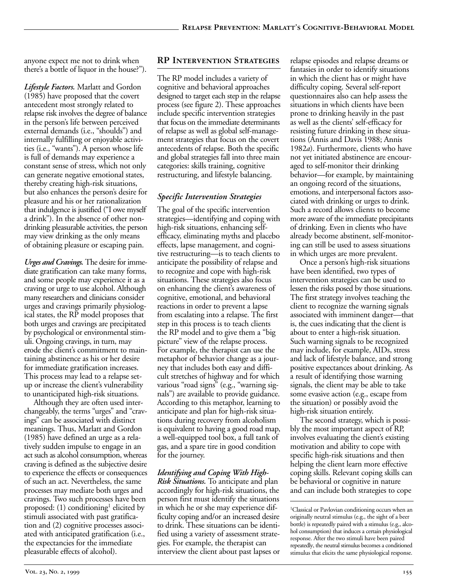anyone expect me not to drink when there's a bottle of liquor in the house?").

*Lifestyle Factors.* Marlatt and Gordon (1985) have proposed that the covert antecedent most strongly related to relapse risk involves the degree of balance in the person's life between perceived external demands (i.e., "shoulds") and internally fulfilling or enjoyable activities (i.e., "wants"). A person whose life is full of demands may experience a constant sense of stress, which not only can generate negative emotional states, thereby creating high-risk situations, but also enhances the person's desire for pleasure and his or her rationalization that indulgence is justified ("I owe myself a drink"). In the absence of other nondrinking pleasurable activities, the person may view drinking as the only means of obtaining pleasure or escaping pain.

*Urges and Cravings.* The desire for immediate gratification can take many forms, and some people may experience it as a craving or urge to use alcohol. Although many researchers and clinicians consider urges and cravings primarily physiological states, the RP model proposes that both urges and cravings are precipitated by psychological or environmental stimuli. Ongoing cravings, in turn, may erode the client's commitment to maintaining abstinence as his or her desire for immediate gratification increases. This process may lead to a relapse setup or increase the client's vulnerability to unanticipated high-risk situations.

Although they are often used interchangeably, the terms "urges" and "cravings" can be associated with distinct meanings. Thus, Marlatt and Gordon (1985) have defined an urge as a relatively sudden impulse to engage in an act such as alcohol consumption, whereas craving is defined as the subjective desire to experience the effects or consequences of such an act. Nevertheless, the same processes may mediate both urges and cravings. Two such processes have been proposed:  $(1)$  conditioning<sup>1</sup> elicited by stimuli associated with past gratification and (2) cognitive processes associated with anticipated gratification (i.e., the expectancies for the immediate pleasurable effects of alcohol).

## **RP Intervention Strategies**

The RP model includes a variety of cognitive and behavioral approaches designed to target each step in the relapse process (see figure 2). These approaches include specific intervention strategies that focus on the immediate determinants of relapse as well as global self-management strategies that focus on the covert antecedents of relapse. Both the specific and global strategies fall into three main categories: skills training, cognitive restructuring, and lifestyle balancing.

#### *Specific Intervention Strategies*

The goal of the specific intervention strategies—identifying and coping with high-risk situations, enhancing selfefficacy, eliminating myths and placebo effects, lapse management, and cognitive restructuring—is to teach clients to anticipate the possibility of relapse and to recognize and cope with high-risk situations. These strategies also focus on enhancing the client's awareness of cognitive, emotional, and behavioral reactions in order to prevent a lapse from escalating into a relapse. The first step in this process is to teach clients the RP model and to give them a "big picture" view of the relapse process. For example, the therapist can use the metaphor of behavior change as a journey that includes both easy and difficult stretches of highway and for which various "road signs" (e.g., "warning signals") are available to provide guidance. According to this metaphor, learning to anticipate and plan for high-risk situations during recovery from alcoholism is equivalent to having a good road map, a well-equipped tool box, a full tank of gas, and a spare tire in good condition for the journey.

#### *Identifying and Coping With High-*

*Risk Situations.* To anticipate and plan accordingly for high-risk situations, the person first must identify the situations in which he or she may experience difficulty coping and/or an increased desire to drink. These situations can be identified using a variety of assessment strategies. For example, the therapist can interview the client about past lapses or

relapse episodes and relapse dreams or fantasies in order to identify situations in which the client has or might have difficulty coping. Several self-report questionnaires also can help assess the situations in which clients have been prone to drinking heavily in the past as well as the clients' self-efficacy for resisting future drinking in these situations (Annis and Davis 1988; Annis 1982*a*). Furthermore, clients who have not yet initiated abstinence are encouraged to self-monitor their drinking behavior—for example, by maintaining an ongoing record of the situations, emotions, and interpersonal factors associated with drinking or urges to drink. Such a record allows clients to become more aware of the immediate precipitants of drinking. Even in clients who have already become abstinent, self-monitoring can still be used to assess situations in which urges are more prevalent.

Once a person's high-risk situations have been identified, two types of intervention strategies can be used to lessen the risks posed by those situations. The first strategy involves teaching the client to recognize the warning signals associated with imminent danger—that is, the cues indicating that the client is about to enter a high-risk situation. Such warning signals to be recognized may include, for example, AIDs, stress and lack of lifestyle balance, and strong positive expectances about drinking. As a result of identifying those warning signals, the client may be able to take some evasive action (e.g., escape from the situation) or possibly avoid the high-risk situation entirely.

The second strategy, which is possibly the most important aspect of RP, involves evaluating the client's existing motivation and ability to cope with specific high-risk situations and then helping the client learn more effective coping skills. Relevant coping skills can be behavioral or cognitive in nature and can include both strategies to cope

<sup>1</sup> Classical or Pavlovian conditioning occurs when an originally neutral stimulus (e.g., the sight of a beer bottle) is repeatedly paired with a stimulus (e.g., alcohol consumption) that induces a certain physiological response. After the two stimuli have been paired repeatedly, the neutral stimulus becomes a conditioned stimulus that elicits the same physiological response.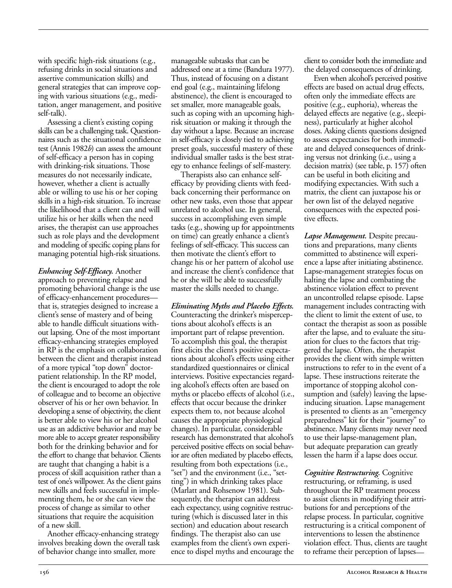with specific high-risk situations (e.g., refusing drinks in social situations and assertive communication skills) and general strategies that can improve coping with various situations (e.g., meditation, anger management, and positive self-talk).

Assessing a client's existing coping skills can be a challenging task. Questionnaires such as the situational confidence test (Annis 1982*b*) can assess the amount of self-efficacy a person has in coping with drinking-risk situations. Those measures do not necessarily indicate, however, whether a client is actually able or willing to use his or her coping skills in a high-risk situation. To increase the likelihood that a client can and will utilize his or her skills when the need arises, the therapist can use approaches such as role plays and the development and modeling of specific coping plans for managing potential high-risk situations.

*Enhancing Self-Efficacy.* Another approach to preventing relapse and promoting behavioral change is the use of efficacy-enhancement procedures that is, strategies designed to increase a client's sense of mastery and of being able to handle difficult situations without lapsing. One of the most important efficacy-enhancing strategies employed in RP is the emphasis on collaboration between the client and therapist instead of a more typical "top down" doctorpatient relationship. In the RP model, the client is encouraged to adopt the role of colleague and to become an objective observer of his or her own behavior. In developing a sense of objectivity, the client is better able to view his or her alcohol use as an addictive behavior and may be more able to accept greater responsibility both for the drinking behavior and for the effort to change that behavior. Clients are taught that changing a habit is a process of skill acquisition rather than a test of one's willpower. As the client gains new skills and feels successful in implementing them, he or she can view the process of change as similar to other situations that require the acquisition of a new skill.

Another efficacy-enhancing strategy involves breaking down the overall task of behavior change into smaller, more

manageable subtasks that can be addressed one at a time (Bandura 1977). Thus, instead of focusing on a distant end goal (e.g., maintaining lifelong abstinence), the client is encouraged to set smaller, more manageable goals, such as coping with an upcoming highrisk situation or making it through the day without a lapse. Because an increase in self-efficacy is closely tied to achieving preset goals, successful mastery of these individual smaller tasks is the best strategy to enhance feelings of self-mastery.

Therapists also can enhance selfefficacy by providing clients with feedback concerning their performance on other new tasks, even those that appear unrelated to alcohol use. In general, success in accomplishing even simple tasks (e.g., showing up for appointments on time) can greatly enhance a client's feelings of self-efficacy. This success can then motivate the client's effort to change his or her pattern of alcohol use and increase the client's confidence that he or she will be able to successfully master the skills needed to change.

*Eliminating Myths and Placebo Effects.* Counteracting the drinker's misperceptions about alcohol's effects is an important part of relapse prevention. To accomplish this goal, the therapist first elicits the client's positive expectations about alcohol's effects using either standardized questionnaires or clinical interviews. Positive expectancies regarding alcohol's effects often are based on myths or placebo effects of alcohol (i.e., effects that occur because the drinker expects them to, not because alcohol causes the appropriate physiological changes). In particular, considerable research has demonstrated that alcohol's perceived positive effects on social behavior are often mediated by placebo effects, resulting from both expectations (i.e., "set") and the environment (i.e., "setting") in which drinking takes place (Marlatt and Rohsenow 1981). Subsequently, the therapist can address each expectancy, using cognitive restructuring (which is discussed later in this section) and education about research findings. The therapist also can use examples from the client's own experience to dispel myths and encourage the

client to consider both the immediate and the delayed consequences of drinking.

Even when alcohol's perceived positive effects are based on actual drug effects, often only the immediate effects are positive (e.g., euphoria), whereas the delayed effects are negative (e.g., sleepiness), particularly at higher alcohol doses. Asking clients questions designed to assess expectancies for both immediate and delayed consequences of drinking versus not drinking (i.e., using a decision matrix) (see table, p. 157) often can be useful in both eliciting and modifying expectancies. With such a matrix, the client can juxtapose his or her own list of the delayed negative consequences with the expected positive effects.

*Lapse Management.* Despite precautions and preparations, many clients committed to abstinence will experience a lapse after initiating abstinence. Lapse-management strategies focus on halting the lapse and combating the abstinence violation effect to prevent an uncontrolled relapse episode. Lapse management includes contracting with the client to limit the extent of use, to contact the therapist as soon as possible after the lapse, and to evaluate the situation for clues to the factors that triggered the lapse. Often, the therapist provides the client with simple written instructions to refer to in the event of a lapse. These instructions reiterate the importance of stopping alcohol consumption and (safely) leaving the lapseinducing situation. Lapse management is presented to clients as an "emergency preparedness" kit for their "journey" to abstinence. Many clients may never need to use their lapse-management plan, but adequate preparation can greatly lessen the harm if a lapse does occur.

*Cognitive Restructuring.* Cognitive restructuring, or reframing, is used throughout the RP treatment process to assist clients in modifying their attributions for and perceptions of the relapse process. In particular, cognitive restructuring is a critical component of interventions to lessen the abstinence violation effect. Thus, clients are taught to reframe their perception of lapses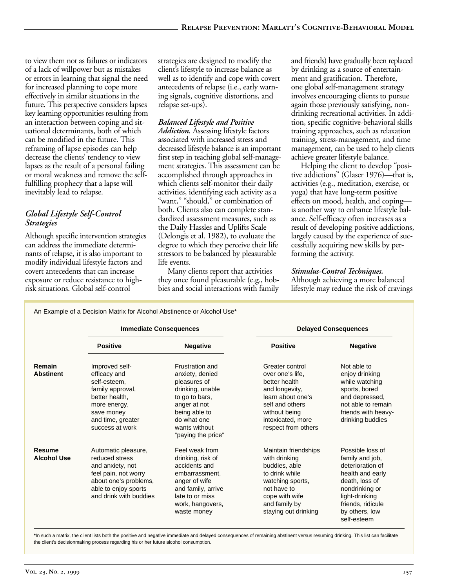to view them not as failures or indicators of a lack of willpower but as mistakes or errors in learning that signal the need for increased planning to cope more effectively in similar situations in the future. This perspective considers lapses key learning opportunities resulting from an interaction between coping and situational determinants, both of which can be modified in the future. This reframing of lapse episodes can help decrease the clients' tendency to view lapses as the result of a personal failing or moral weakness and remove the selffulfilling prophecy that a lapse will inevitably lead to relapse.

#### *Global Lifestyle Self-Control Strategies*

Although specific intervention strategies can address the immediate determinants of relapse, it is also important to modify individual lifestyle factors and covert antecedents that can increase exposure or reduce resistance to highrisk situations. Global self-control

strategies are designed to modify the client's lifestyle to increase balance as well as to identify and cope with covert antecedents of relapse (i.e., early warning signals, cognitive distortions, and relapse set-ups).

# *Balanced Lifestyle and Positive*

*Addiction.* Assessing lifestyle factors associated with increased stress and decreased lifestyle balance is an important first step in teaching global self-management strategies. This assessment can be accomplished through approaches in which clients self-monitor their daily activities, identifying each activity as a "want," "should," or combination of both. Clients also can complete standardized assessment measures, such as the Daily Hassles and Uplifts Scale (Delongis et al. 1982), to evaluate the degree to which they perceive their life stressors to be balanced by pleasurable life events.

Many clients report that activities they once found pleasurable (e.g., hobbies and social interactions with family and friends) have gradually been replaced by drinking as a source of entertainment and gratification. Therefore, one global self-management strategy involves encouraging clients to pursue again those previously satisfying, nondrinking recreational activities. In addition, specific cognitive-behavioral skills training approaches, such as relaxation training, stress-management, and time management, can be used to help clients achieve greater lifestyle balance.

Helping the client to develop "positive addictions" (Glaser 1976)—that is, activities (e.g., meditation, exercise, or yoga) that have long-term positive effects on mood, health, and coping is another way to enhance lifestyle balance. Self-efficacy often increases as a result of developing positive addictions, largely caused by the experience of successfully acquiring new skills by performing the activity.

#### *Stimulus-Control Techniques.*

Although achieving a more balanced lifestyle may reduce the risk of cravings

An Example of a Decision Matrix for Alcohol Abstinence or Alcohol Use\*

|                              | <b>Immediate Consequences</b>                                                                                                                                |                                                                                                                                                                                 | <b>Delayed Consequences</b>                                                                                                                                                 |                                                                                                                                                                                         |
|------------------------------|--------------------------------------------------------------------------------------------------------------------------------------------------------------|---------------------------------------------------------------------------------------------------------------------------------------------------------------------------------|-----------------------------------------------------------------------------------------------------------------------------------------------------------------------------|-----------------------------------------------------------------------------------------------------------------------------------------------------------------------------------------|
|                              | <b>Positive</b>                                                                                                                                              | <b>Negative</b>                                                                                                                                                                 | <b>Positive</b>                                                                                                                                                             | <b>Negative</b>                                                                                                                                                                         |
| Remain<br><b>Abstinent</b>   | Improved self-<br>efficacy and<br>self-esteem,<br>family approval,<br>better health,<br>more energy,<br>save money<br>and time, greater<br>success at work   | Frustration and<br>anxiety, denied<br>pleasures of<br>drinking, unable<br>to go to bars,<br>anger at not<br>being able to<br>do what one<br>wants without<br>"paying the price" | Greater control<br>over one's life.<br>better health<br>and longevity,<br>learn about one's<br>self and others<br>without being<br>intoxicated, more<br>respect from others | Not able to<br>enjoy drinking<br>while watching<br>sports, bored<br>and depressed,<br>not able to remain<br>friends with heavy-<br>drinking buddies                                     |
| Resume<br><b>Alcohol Use</b> | Automatic pleasure,<br>reduced stress<br>and anxiety, not<br>feel pain, not worry<br>about one's problems,<br>able to enjoy sports<br>and drink with buddies | Feel weak from<br>drinking, risk of<br>accidents and<br>embarrassment.<br>anger of wife<br>and family, arrive<br>late to or miss<br>work, hangovers,<br>waste money             | Maintain friendships<br>with drinking<br>buddies, able<br>to drink while<br>watching sports,<br>not have to<br>cope with wife<br>and family by<br>staying out drinking      | Possible loss of<br>family and job,<br>deterioration of<br>health and early<br>death, loss of<br>nondrinking or<br>light-drinking<br>friends, ridicule<br>by others, low<br>self-esteem |

\*In such a matrix, the client lists both the positive and negative immediate and delayed consequences of remaining abstinent versus resuming drinking. This list can facilitate the client's decisionmaking process regarding his or her future alcohol consumption.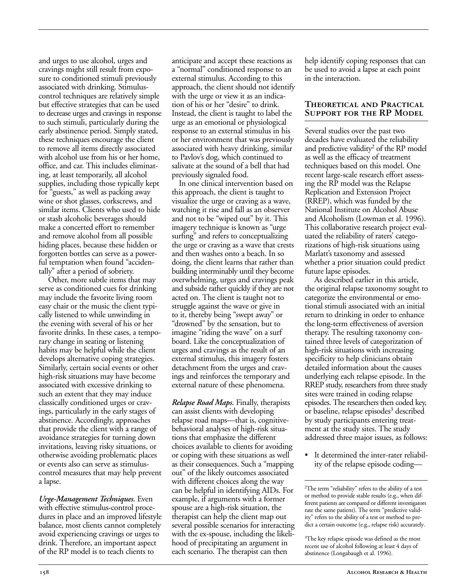and urges to use alcohol, urges and cravings might still result from exposure to conditioned stimuli previously associated with drinking. Stimuluscontrol techniques are relatively simple but effective strategies that can be used to decrease urges and cravings in response to such stimuli, particularly during the early abstinence period. Simply stated, these techniques encourage the client to remove all items directly associated with alcohol use from his or her home, office, and car. This includes eliminating, at least temporarily, all alcohol supplies, including those typically kept for "guests," as well as packing away wine or shot glasses, corkscrews, and similar items. Clients who used to hide or stash alcoholic beverages should make a concerted effort to remember and remove alcohol from all possible hiding places, because these hidden or forgotten bottles can serve as a powerful temptation when found "accidentally" after a period of sobriety.

Other, more subtle items that may serve as conditioned cues for drinking may include the favorite living room easy chair or the music the client typically listened to while unwinding in the evening with several of his or her favorite drinks. In these cases, a temporary change in seating or listening habits may be helpful while the client develops alternative coping strategies. Similarly, certain social events or other high-risk situations may have become associated with excessive drinking to such an extent that they may induce classically conditioned urges or cravings, particularly in the early stages of abstinence. Accordingly, approaches that provide the client with a range of avoidance strategies for turning down invitations, leaving risky situations, or otherwise avoiding problematic places or events also can serve as stimuluscontrol measures that may help prevent a lapse.

*Urge-Management Techniques.* Even with effective stimulus-control procedures in place and an improved lifestyle balance, most clients cannot completely avoid experiencing cravings or urges to drink. Therefore, an important aspect of the RP model is to teach clients to

anticipate and accept these reactions as a "normal" conditioned response to an external stimulus. According to this approach, the client should not identify with the urge or view it as an indication of his or her "desire" to drink. Instead, the client is taught to label the urge as an emotional or physiological response to an external stimulus in his or her environment that was previously associated with heavy drinking, similar to Pavlov's dog, which continued to salivate at the sound of a bell that had previously signaled food.

In one clinical intervention based on this approach, the client is taught to visualize the urge or craving as a wave, watching it rise and fall as an observer and not to be "wiped out" by it. This imagery technique is known as "urge surfing" and refers to conceptualizing the urge or craving as a wave that crests and then washes onto a beach. In so doing, the client learns that rather than building interminably until they become overwhelming, urges and cravings peak and subside rather quickly if they are not acted on. The client is taught not to struggle against the wave or give in to it, thereby being "swept away" or "drowned" by the sensation, but to imagine "riding the wave" on a surf board. Like the conceptualization of urges and cravings as the result of an external stimulus, this imagery fosters detachment from the urges and cravings and reinforces the temporary and external nature of these phenomena.

*Relapse Road Maps.* Finally, therapists can assist clients with developing relapse road maps—that is, cognitivebehavioral analyses of high-risk situations that emphasize the different choices available to clients for avoiding or coping with these situations as well as their consequences. Such a "mapping out" of the likely outcomes associated with different choices along the way can be helpful in identifying AIDs. For example, if arguments with a former spouse are a high-risk situation, the therapist can help the client map out several possible scenarios for interacting with the ex-spouse, including the likelihood of precipitating an argument in each scenario. The therapist can then

help identify coping responses that can be used to avoid a lapse at each point in the interaction.

#### **Theoretical and Practical SUPPORT FOR THE RP MODEL**

Several studies over the past two decades have evaluated the reliability and predictive validity<sup>2</sup> of the RP model as well as the efficacy of treatment techniques based on this model. One recent large-scale research effort assessing the RP model was the Relapse Replication and Extension Project (RREP), which was funded by the National Institute on Alcohol Abuse and Alcoholism (Lowman et al. 1996). This collaborative research project evaluated the reliability of raters' categorizations of high-risk situations using Marlatt's taxonomy and assessed whether a prior situation could predict future lapse episodes.

As described earlier in this article, the original relapse taxonomy sought to categorize the environmental or emotional stimuli associated with an initial return to drinking in order to enhance the long-term effectiveness of aversion therapy. The resulting taxonomy contained three levels of categorization of high-risk situations with increasing specificity to help clinicians obtain detailed information about the causes underlying each relapse episode. In the RREP study, researchers from three study sites were trained in coding relapse episodes. The researchers then coded key, or baseline, relapse episodes<sup>3</sup> described by study participants entering treatment at the study sites. The study addressed three major issues, as follows:

• It determined the inter-rater reliability of the relapse episode coding—

2 The term "reliability" refers to the ability of a test or method to provide stable results (e.g., when different patients are compared or different investigators rate the same patient). The term "predictive validity" refers to the ability of a test or method to predict a certain outcome (e.g., relapse risk) accurately.

<sup>3</sup> The key relapse episode was defined as the most recent use of alcohol following at least 4 days of abstinence (Longabaugh et al. 1996).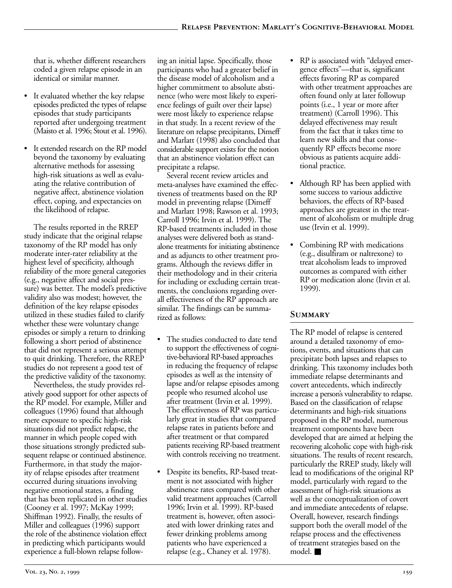that is, whether different researchers coded a given relapse episode in an identical or similar manner.

- It evaluated whether the key relapse episodes predicted the types of relapse episodes that study participants reported after undergoing treatment (Maisto et al. 1996; Stout et al. 1996).
- It extended research on the RP model beyond the taxonomy by evaluating alternative methods for assessing high-risk situations as well as evaluating the relative contribution of negative affect, abstinence violation effect, coping, and expectancies on the likelihood of relapse.

The results reported in the RREP study indicate that the original relapse taxonomy of the RP model has only moderate inter-rater reliability at the highest level of specificity, although reliability of the more general categories (e.g., negative affect and social pressure) was better. The model's predictive validity also was modest; however, the definition of the key relapse episodes utilized in these studies failed to clarify whether these were voluntary change episodes or simply a return to drinking following a short period of abstinence that did not represent a serious attempt to quit drinking. Therefore, the RREP studies do not represent a good test of the predictive validity of the taxonomy.

Nevertheless, the study provides relatively good support for other aspects of the RP model. For example, Miller and colleagues (1996) found that although mere exposure to specific high-risk situations did not predict relapse, the manner in which people coped with those situations strongly predicted subsequent relapse or continued abstinence. Furthermore, in that study the majority of relapse episodes after treatment occurred during situations involving negative emotional states, a finding that has been replicated in other studies (Cooney et al. 1997; McKay 1999; Shiffman 1992). Finally, the results of Miller and colleagues (1996) support the role of the abstinence violation effect in predicting which participants would experience a full-blown relapse following an initial lapse. Specifically, those participants who had a greater belief in the disease model of alcoholism and a higher commitment to absolute abstinence (who were most likely to experience feelings of guilt over their lapse) were most likely to experience relapse in that study. In a recent review of the literature on relapse precipitants, Dimeff and Marlatt (1998) also concluded that considerable support exists for the notion that an abstinence violation effect can precipitate a relapse.

Several recent review articles and meta-analyses have examined the effectiveness of treatments based on the RP model in preventing relapse (Dimeff and Marlatt 1998; Rawson et al. 1993; Carroll 1996; Irvin et al. 1999). The RP-based treatments included in those analyses were delivered both as standalone treatments for initiating abstinence and as adjuncts to other treatment programs. Although the reviews differ in their methodology and in their criteria for including or excluding certain treatments, the conclusions regarding overall effectiveness of the RP approach are similar. The findings can be summarized as follows:

- The studies conducted to date tend to support the effectiveness of cognitive-behavioral RP-based approaches in reducing the frequency of relapse episodes as well as the intensity of lapse and/or relapse episodes among people who resumed alcohol use after treatment (Irvin et al. 1999). The effectiveness of RP was particularly great in studies that compared relapse rates in patients before and after treatment or that compared patients receiving RP-based treatment with controls receiving no treatment.
- Despite its benefits, RP-based treatment is not associated with higher abstinence rates compared with other valid treatment approaches (Carroll 1996; Irvin et al. 1999). RP-based treatment is, however, often associated with lower drinking rates and fewer drinking problems among patients who have experienced a relapse (e.g., Chaney et al. 1978).
- RP is associated with "delayed emergence effects"—that is, significant effects favoring RP as compared with other treatment approaches are often found only at later followup points (i.e., 1 year or more after treatment) (Carroll 1996). This delayed effectiveness may result from the fact that it takes time to learn new skills and that consequently RP effects become more obvious as patients acquire additional practice.
- Although RP has been applied with some success to various addictive behaviors, the effects of RP-based approaches are greatest in the treatment of alcoholism or multiple drug use (Irvin et al. 1999).
- Combining RP with medications (e.g., disulfiram or naltrexone) to treat alcoholism leads to improved outcomes as compared with either RP or medication alone (Irvin et al. 1999).

#### **Summary**

The RP model of relapse is centered around a detailed taxonomy of emotions, events, and situations that can precipitate both lapses and relapses to drinking. This taxonomy includes both immediate relapse determinants and covert antecedents, which indirectly increase a person's vulnerability to relapse. Based on the classification of relapse determinants and high-risk situations proposed in the RP model, numerous treatment components have been developed that are aimed at helping the recovering alcoholic cope with high-risk situations. The results of recent research, particularly the RREP study, likely will lead to modifications of the original RP model, particularly with regard to the assessment of high-risk situations as well as the conceptualization of covert and immediate antecedents of relapse. Overall, however, research findings support both the overall model of the relapse process and the effectiveness of treatment strategies based on the model. ■